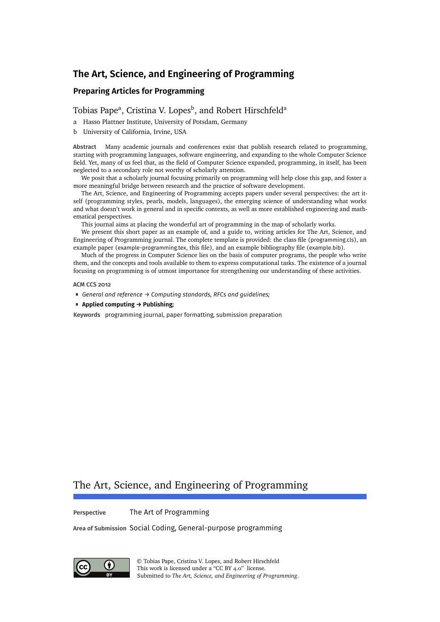# **The Art, Science, and Engineering of Programming**

# **Preparing Articles for Programming**

# [Tobias Pape](#page-13-0)<sup>a</sup>, [Cristina V. Lopes](#page-13-1)<sup>b</sup>, and [Robert Hirschfeld](#page-13-2)<sup>a</sup>

- a Hasso Plattner Institute, University of Potsdam, Germany
- b University of California, Irvine, USA

**Abstract** Many academic journals and conferences exist that publish research related to programming, starting with programming languages, software engineering, and expanding to the whole Computer Science field. Yet, many of us feel that, as the field of Computer Science expanded, programming, in itself, has been neglected to a secondary role not worthy of scholarly attention.

We posit that a scholarly journal focusing primarily on programming will help close this gap, and foster a more meaningful bridge between research and the practice of software development.

The Art, Science, and Engineering of Programming accepts papers under several perspectives: the art itself (programming styles, pearls, models, languages), the emerging science of understanding what works and what doesn't work in general and in specific contexts, as well as more established engineering and mathematical perspectives.

This journal aims at placing the wonderful art of programming in the map of scholarly works.

We present this short paper as an example of, and a guide to, writing articles for The Art, Science, and Engineering of Programming journal. The complete template is provided: the class file (programming.cls), an example paper (example-programming.tex, this file), and an example bibliography file (example.bib).

Much of the progress in Computer Science lies on the basis of computer programs, the people who write them, and the concepts and tools available to them to express computational tasks. The existence of a journal focusing on programming is of utmost importance for strengthening our understanding of these activities.

#### **ACM CCS 2012**

- *General and reference → Computing standards, RFCs and guidelines;*
- **Applied computing → Publishing;**

**Keywords** programming journal, paper formatting, submission preparation

# The Art, Science, and Engineering of Programming

**Perspective** The Art of Programming

**Area of Submission** Social Coding, General-purpose programming



© [Tobias Pape,](#page-13-0) [Cristina V. Lopes,](#page-13-1) and [Robert Hirschfeld](#page-13-2) This work is licensed under a ["CC BY 4.0"](https://creativecommons.org/licenses/by/4.0/deed.en) license. Submitted to *The Art, Science, and Engineering of Programming*.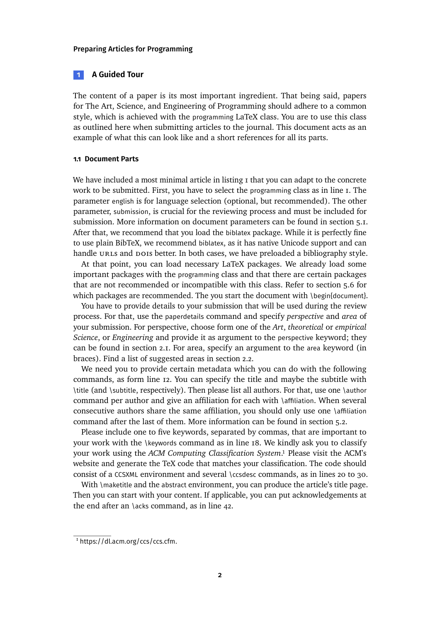#### <span id="page-1-1"></span>**1 A Guided Tour**

The content of a paper is its most important ingredient. That being said, papers for The Art, Science, and Engineering of Programming should adhere to a common style, which is achieved with the programming LaTeX class. You are to use this class as outlined here when submitting articles to the journal. This document acts as an example of what this can look like and a short references for all its parts.

### **1.1 Document Parts**

We have included a most minimal article in listing I that you can adapt to the concrete work to be submitted. First, you have to select the programming class as in [line 1.](#page-2-1) The parameter english is for language selection (optional, but recommended). The other parameter, submission, is crucial for the reviewing process and must be included for submission. More information on document parameters can be found in [section 5.1.](#page-6-0) After that, we recommend that you load the biblatex package. While it is perfectly fine to use plain BibTeX, we recommend biblatex, as it has native Unicode support and can handle URLS and DOIS better. In both cases, we have preloaded a bibliography style.

At that point, you can load necessary LaTeX packages. We already load some important packages with the programming class and that there are certain packages that are not recommended or incompatible with this class. Refer to [section 5.6](#page-10-0) for which packages are recommended. The you start the document with \begin{document}.

You have to provide details to your submission that will be used during the review process. For that, use the paperdetails command and specify *perspective* and *area* of your submission. For perspective, choose form one of the *Art*, *theoretical* or *empirical Science*, or *Engineering* and provide it as argument to the perspective keyword; they can be found in [section 2.1.](#page-3-0) For area, specify an argument to the area keyword (in braces). Find a list of suggested areas in [section 2.2.](#page-4-0)

We need you to provide certain metadata which you can do with the following commands, as form [line 12.](#page-2-2) You can specify the title and maybe the subtitle with \title (and \subtitle, respectively). Then please list all authors. For that, use one \author command per author and give an affiliation for each with \affiliation. When several consecutive authors share the same affiliation, you should only use one \affiliation command after the last of them. More information can be found in [section 5.2.](#page-7-0)

Please include one to five keywords, separated by commas, that are important to your work with the \keywords command as in [line 18.](#page-2-3) We kindly ask you to classify your work using the *ACM Computing Classification System*.<sup>1</sup> Please visit the ACM's website and generate the TeX code that matches your classification. The code should consist of a CCSXML environment and several \ccsdesc commands, as in lines [20](#page-2-4) to [30.](#page-2-5)

With \maketitle and the abstract environment, you can produce the article's title page. Then you can start with your content. If applicable, you can put acknowledgements at the end after an \acks command, as in [line 42.](#page-2-6)

<span id="page-1-0"></span><sup>1</sup> <https://dl.acm.org/ccs/ccs.cfm>.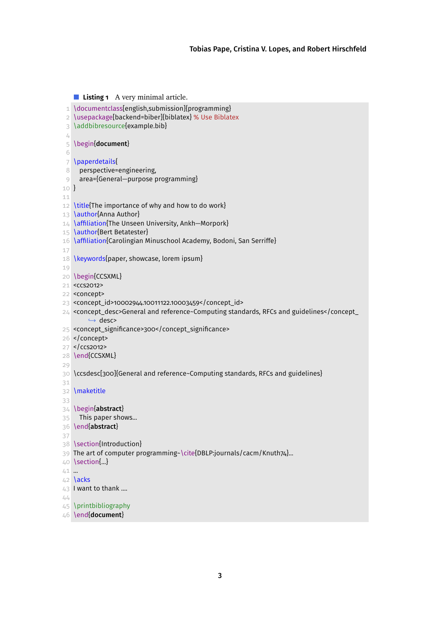```
Listing 1 A very minimal article.
 1 \documentclass[english,submission]{programming}
 2 \usepackage[backend=biber]{biblatex} % Use Biblatex
 3 \addbibresource{example.bib}
 \frac{1}{4}5 \begin{document}
 6
 7 \paperdetails{
 8 perspective=engineering,
 9 area={General−purpose programming}
10 }
11
12 \title{The importance of why and how to do work}
13 \author{Anna Author}
14 \affiliation{The Unseen University, Ankh−Morpork}
15 \author{Bert Betatester}
16 \affiliation{Carolingian Minuschool Academy, Bodoni, San Serriffe}
17
18 \keywords{paper, showcase, lorem ipsum}
19
20 \begin{CCSXML}
21 <ccs2012>
22 <concept>
23 <concept_id>10002944.10011122.10003459</concept_id>
24 <concept_desc>General and reference~Computing standards, RFCs and guidelines</concept_
        ,→ desc>
25 <concept_significance>300</concept_significance>
26 </concept>
27 </ccs2012>
28 \end{CCSXML}
29
30 \ccsdesc[300]{General and reference~Computing standards, RFCs and guidelines}
31
32 \maketitle
33
34 \begin{abstract}
35 This paper shows...
36 \end{abstract}
37
38 \section{Introduction}
39 The art of computer programming~\cite{DBLP:journals/cacm/Knuth74}...
40 \section{...}
41 ...
42 \acks
43 I want to thank ....
44
45 \printbibliography
46 \end{document}
```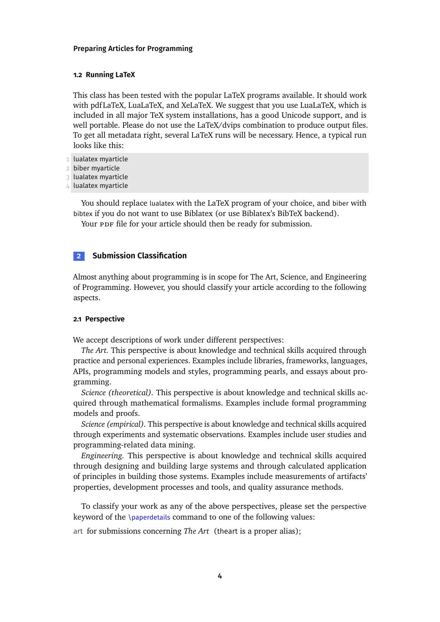#### **1.2 Running LaTeX**

This class has been tested with the popular LaTeX programs available. It should work with pdf LaTeX, LuaLaTeX, and XeLaTeX. We suggest that you use LuaLaTeX, which is included in all major TeX system installations, has a good Unicode support, and is well portable. Please do not use the LaTeX/dvips combination to produce output files. To get all metadata right, several LaTeX runs will be necessary. Hence, a typical run looks like this:

- 1 lualatex myarticle
- 2 biber myarticle
- 3 lualatex myarticle
- 4 lualatex myarticle

You should replace lualatex with the LaTeX program of your choice, and biber with bibtex if you do not want to use Biblatex (or use Biblatex's BibTeX backend).

Your PDF file for your article should then be ready for submission.

# **2 Submission Classification**

Almost anything about programming is in scope for The Art, Science, and Engineering of Programming. However, you should classify your article according to the following aspects.

#### <span id="page-3-0"></span>**2.1 Perspective**

We accept descriptions of work under different perspectives:

*The Art.* This perspective is about knowledge and technical skills acquired through practice and personal experiences. Examples include libraries, frameworks, languages, APIs, programming models and styles, programming pearls, and essays about programming.

*Science (theoretical).* This perspective is about knowledge and technical skills acquired through mathematical formalisms. Examples include formal programming models and proofs.

*Science (empirical).* This perspective is about knowledge and technical skills acquired through experiments and systematic observations. Examples include user studies and programming-related data mining.

*Engineering.* This perspective is about knowledge and technical skills acquired through designing and building large systems and through calculated application of principles in building those systems. Examples include measurements of artifacts' properties, development processes and tools, and quality assurance methods.

To classify your work as any of the above perspectives, please set the perspective keyword of the \paperdetails command to one of the following values:

art for submissions concerning *The Art* (theart is a proper alias);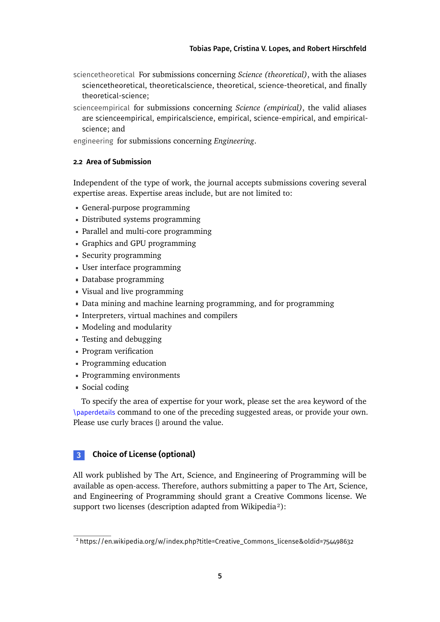- sciencetheoretical For submissions concerning *Science (theoretical)*, with the aliases sciencetheoretical, theoreticalscience, theoretical, science-theoretical, and finally theoretical-science;
- scienceempirical for submissions concerning *Science (empirical)*, the valid aliases are scienceempirical, empiricalscience, empirical, science-empirical, and empiricalscience; and

engineering for submissions concerning *Engineering*.

# <span id="page-4-0"></span>**2.2 Area of Submission**

Independent of the type of work, the journal accepts submissions covering several expertise areas. Expertise areas include, but are not limited to:

- General-purpose programming
- Distributed systems programming
- Parallel and multi-core programming
- Graphics and GPU programming
- Security programming
- User interface programming
- Database programming
- Visual and live programming
- Data mining and machine learning programming, and for programming
- Interpreters, virtual machines and compilers
- Modeling and modularity
- Testing and debugging
- Program verification
- Programming education
- Programming environments
- Social coding

To specify the area of expertise for your work, please set the area keyword of the \paperdetails command to one of the preceding suggested areas, or provide your own. Please use curly braces {} around the value.

# **3 Choice of License (optional)**

All work published by The Art, Science, and Engineering of Programming will be available as open-access. Therefore, authors submitting a paper to The Art, Science, and Engineering of Programming should grant a Creative Commons license. We support two licenses (description adapted from Wikipedia[²\)](#page-4-1):

<span id="page-4-1"></span><sup>2</sup> [https://en.wikipedia.org/w/index.php?title=Creative\\_Commons\\_license&oldid=754498632](https://en.wikipedia.org/w/index.php?title=Creative_Commons_license&oldid=754498632)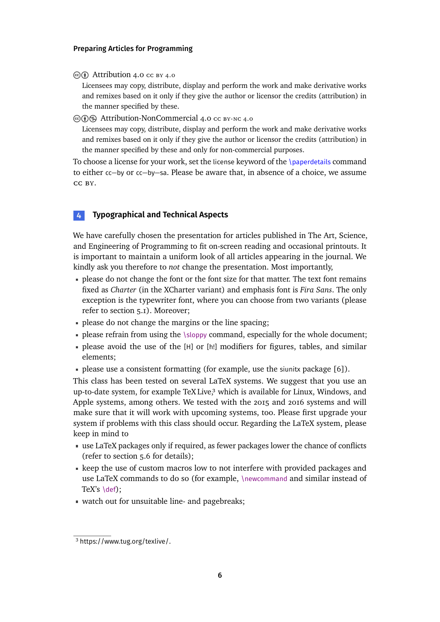$\circledcirc$  [Attribution 4.0](https://creativecommons.org/licenses/by/4.0) cc by 4.0

Licensees may copy, distribute, display and perform the work and make derivative works and remixes based on it only if they give the author or licensor the credits (attribution) in the manner specified by these.

cbn [Attribution-NonCommercial 4.0](https://creativecommons.org/licenses/by-nc-sa/4.0) cc by-nc 4.0

Licensees may copy, distribute, display and perform the work and make derivative works and remixes based on it only if they give the author or licensor the credits (attribution) in the manner specified by these and only for non-commercial purposes.

To choose a license for your work, set the license keyword of the  $\Omega$  spacerdetails command to either cc−by or cc−by−sa. Please be aware that, in absence of a choice, we assume cc by.

# **4 Typographical and Technical Aspects**

We have carefully chosen the presentation for articles published in The Art, Science, and Engineering of Programming to fit on-screen reading and occasional printouts. It is important to maintain a uniform look of all articles appearing in the journal. We kindly ask you therefore to *not* change the presentation. Most importantly,

- please do not change the font or the font size for that matter. The text font remains fixed as *Charter* (in the XCharter variant) and emphasis font is *Fira Sans*. The only exception is the typewriter font, where you can choose from two variants (please refer to [section 5.1\)](#page-6-1). Moreover;
- please do not change the margins or the line spacing;
- please refrain from using the \sloppy command, especially for the whole document;
- please avoid the use of the [H] or [h!] modifiers for figures, tables, and similar elements;
- please use a consistent formatting (for example, use the siunitx package [\[6\]](#page-11-0)).

This class has been tested on several LaTeX systems. We suggest that you use an up-to-date system, for example TeX Live, $3$  which is available for Linux, Windows, and Apple systems, among others. We tested with the 2015 and 2016 systems and will make sure that it will work with upcoming systems, too. Please first upgrade your system if problems with this class should occur. Regarding the LaTeX system, please keep in mind to

- use LaTeX packages only if required, as fewer packages lower the chance of conflicts (refer to [section 5.6](#page-10-0) for details);
- keep the use of custom macros low to not interfere with provided packages and use LaTeX commands to do so (for example, \newcommand and similar instead of TeX's \def);
- watch out for unsuitable line- and pagebreaks;

<span id="page-5-0"></span><sup>3</sup> <https://www.tug.org/texlive/>.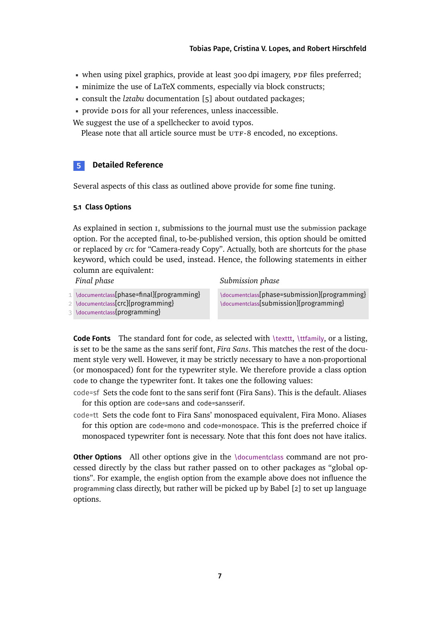- when using pixel graphics, provide at least 300 dpi imagery, PDF files preferred;
- minimize the use of LaTeX comments, especially via block constructs;
- consult the *l2tabu* documentation [\[5\]](#page-11-1) about outdated packages;
- **provide pois for all your references, unless inaccessible.**

We suggest the use of a spellchecker to avoid typos.

Please note that all article source must be UTF-8 encoded, no exceptions.

# **5 Detailed Reference**

Several aspects of this class as outlined above provide for some fine tuning.

#### <span id="page-6-0"></span>**5.1 Class Options**

As explained in [section 1,](#page-1-1) submissions to the journal must use the submission package option. For the accepted final, to-be-published version, this option should be omitted or replaced by crc for "Camera-ready Copy". Actually, both are shortcuts for the phase keyword, which could be used, instead. Hence, the following statements in either column are equivalent:

*Submission phase*

*Final phase*

1 \documentclass[phase=final]{programming}

2 \documentclass[crc]{programming}

3 \documentclass{programming}

\documentclass[phase=submission]{programming} \documentclass[submission]{programming}

<span id="page-6-1"></span>Code Fonts The standard font for code, as selected with \texttt, \ttfamily, or a listing, is set to be the same as the sans serif font, *Fira Sans*. This matches the rest of the document style very well. However, it may be strictly necessary to have a non-proportional (or monospaced) font for the typewriter style. We therefore provide a class option code to change the typewriter font. It takes one the following values:

code=sf Sets the code font to the sans serif font (Fira Sans). This is the default. Aliases for this option are code=sans and code=sansserif.

code=tt Sets the code font to Fira Sans' monospaced equivalent, Fira Mono. Aliases for this option are code=mono and code=monospace. This is the preferred choice if monospaced typewriter font is necessary. Note that this font does not have italics.

**Other Options** All other options give in the \documentclass command are not processed directly by the class but rather passed on to other packages as "global options". For example, the english option from the example above does not influence the programming class directly, but rather will be picked up by Babel [\[2\]](#page-11-2) to set up language options.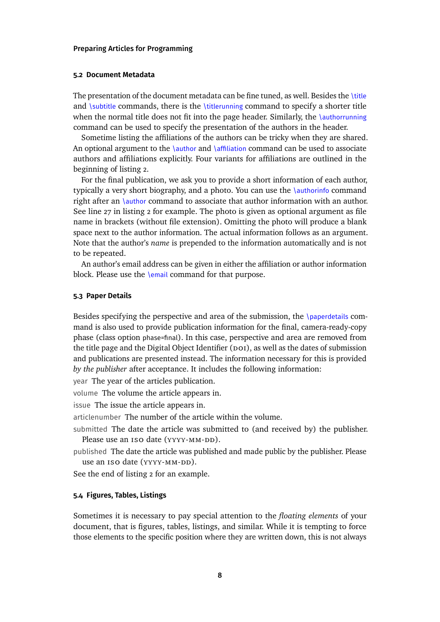#### <span id="page-7-0"></span>**5.2 Document Metadata**

The presentation of the document metadata can be fine tuned, as well. Besides the \title and \subtitle commands, there is the \titlerunning command to specify a shorter title when the normal title does not fit into the page header. Similarly, the \authorrunning command can be used to specify the presentation of the authors in the header.

Sometime listing the affiliations of the authors can be tricky when they are shared. An optional argument to the \author and \affiliation command can be used to associate authors and affiliations explicitly. Four variants for affiliations are outlined in the beginning of [listing 2.](#page-8-0)

For the final publication, we ask you to provide a short information of each author, typically a very short biography, and a photo. You can use the \authorinfo command right after an \author command to associate that author information with an author. See [line 27](#page-8-1) in [listing 2](#page-8-0) for example. The photo is given as optional argument as file name in brackets (without file extension). Omitting the photo will produce a blank space next to the author information. The actual information follows as an argument. Note that the author's *name* is prepended to the information automatically and is not to be repeated.

An author's email address can be given in either the affiliation or author information block. Please use the \email command for that purpose.

#### **5.3 Paper Details**

Besides specifying the perspective and area of the submission, the  $\Omega$ mand is also used to provide publication information for the final, camera-ready-copy phase (class option phase=final). In this case, perspective and area are removed from the title page and the Digital Object Identifier  $($ poI $)$ , as well as the dates of submission and publications are presented instead. The information necessary for this is provided *by the publisher* after acceptance. It includes the following information:

year The year of the articles publication.

volume The volume the article appears in.

issue The issue the article appears in.

articlenumber The number of the article within the volume.

submitted The date the article was submitted to (and received by) the publisher. Please use an ISO date (YYYY-MM-DD).

published The date the article was published and made public by the publisher. Please use an ISO date (YYYY-MM-DD).

See the end of [listing 2](#page-8-0) for an example.

#### **5.4 Figures, Tables, Listings**

Sometimes it is necessary to pay special attention to the *floating elements* of your document, that is figures, tables, listings, and similar. While it is tempting to force those elements to the specific position where they are written down, this is not always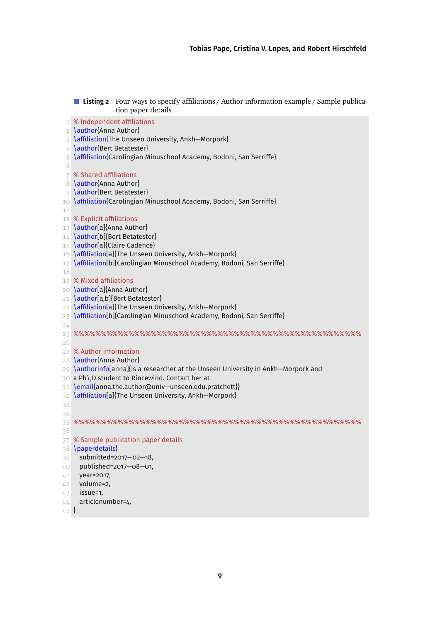```
Listing 2 Four ways to specify affiliations / Author information example / Sample publica-
                tion paper details
 1 % Independent affiliations
 2 \author{Anna Author}
 3 \affiliation{The Unseen University, Ankh−Morpork}
 4 \author{Bert Betatester}
 5 \affiliation{Carolingian Minuschool Academy, Bodoni, San Serriffe}
 6
 7 % Shared affiliations
 8 \author{Anna Author}
 9 \author{Bert Betatester}
10 \affiliation{Carolingian Minuschool Academy, Bodoni, San Serriffe}
11
12 % Explicit affiliations
13 \author[a]{Anna Author}
14 \author[b]{Bert Betatester}
15 \author[a]{Claire Cadence}
16 \affiliation[a]{The Unseen University, Ankh−Morpork}
17 \affiliation[b]{Carolingian Minuschool Academy, Bodoni, San Serriffe}
18
19 % Mixed affiliations
20 \author[a]{Anna Author}
21 \author[a,b]{Bert Betatester}
22 \affiliation[a]{The Unseen University, Ankh–Morpork}
23 \affiliation[b]{Carolingian Minuschool Academy, Bodoni, San Serriffe}
24
25 %%%%%%%%%%%%%%%%%%%%%%%%%%%%%%%%%%%%%%%%%%%%%%%%%%%%
26
27 % Author information
28 \author{Anna Author}
29 \authorinfo[anna]{is a researcher at the Unseen University in Ankh−Morpork and
30 a Ph\,D student to Rincewind. Contact her at
31 \email{anna.the.author@univ-unseen.edu.pratchett}}
32 \affiliation[a]{The Unseen University, Ankh−Morpork}
33
34
35 %%%%%%%%%%%%%%%%%%%%%%%%%%%%%%%%%%%%%%%%%%%%%%%%%%%%
36
37 % Sample publication paper details
38 \paperdetails{
39 submitted=2017−02−18,
40 published=2017−08−01,
41 year=2017,
42 volume=2,
43 issue=1,
44 articlenumber=4,
45 }
```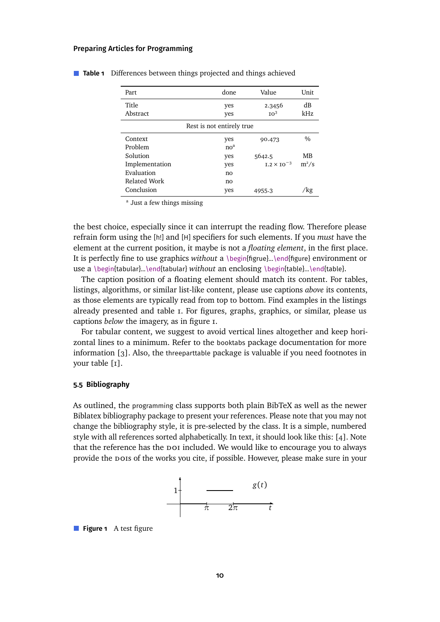|                           |                 |                      | Unit          |  |  |  |  |  |
|---------------------------|-----------------|----------------------|---------------|--|--|--|--|--|
| Part                      | done            | Value                |               |  |  |  |  |  |
| Title                     |                 |                      | dB            |  |  |  |  |  |
|                           | yes             | 2.3456               |               |  |  |  |  |  |
| Abstract                  | yes             | IO <sup>3</sup>      | kHz           |  |  |  |  |  |
| Rest is not entirely true |                 |                      |               |  |  |  |  |  |
| Context                   | yes             | 90.473               | $\frac{0}{0}$ |  |  |  |  |  |
| Problem                   | no <sup>a</sup> |                      |               |  |  |  |  |  |
| Solution                  | yes             | 5642.5               | MВ            |  |  |  |  |  |
| Implementation            | yes             | $I.2 \times I0^{-3}$ | $m^2/s$       |  |  |  |  |  |
| Evaluation                | no              |                      |               |  |  |  |  |  |
| Related Work              | no              |                      |               |  |  |  |  |  |
| Conclusion                | yes             | 4955.3               | 'kg           |  |  |  |  |  |

#### <span id="page-9-0"></span>**Table 1** Differences between things projected and things achieved

<sup>a</sup> Just a few things missing

the best choice, especially since it can interrupt the reading flow. Therefore please refrain form using the [h!] and [H] specifiers for such elements. If you *must* have the element at the current position, it maybe is not a *floating element*, in the first place. It is perfectly fine to use graphics *without* a \begin{figrue}...\end{figure} environment or use a \begin{tabular}...\end{tabular} *without* an enclosing \begin{table}...\end{table}.

The caption position of a floating element should match its content. For tables, listings, algorithms, or similar list-like content, please use captions *above* its contents, as those elements are typically read from top to bottom. Find examples in the listings already presented and [table 1.](#page-9-0) For figures, graphs, graphics, or similar, please us captions *below* the imagery, as in [figure 1.](#page-9-1)

For tabular content, we suggest to avoid vertical lines altogether and keep horizontal lines to a minimum. Refer to the booktabs package documentation for more information [\[3\]](#page-11-3). Also, the threeparttable package is valuable if you need footnotes in your table [\[1\]](#page-11-4).

### **5.5 Bibliography**

As outlined, the programming class supports both plain BibTeX as well as the newer Biblatex bibliography package to present your references. Please note that you may not change the bibliography style, it is pre-selected by the class. It is a simple, numbered style with all references sorted alphabetically. In text, it should look like this: [\[4\]](#page-11-5). Note that the reference has the poi included. We would like to encourage you to always provide the dois of the works you cite, if possible. However, please make sure in your



<span id="page-9-1"></span>**Figure 1** A test figure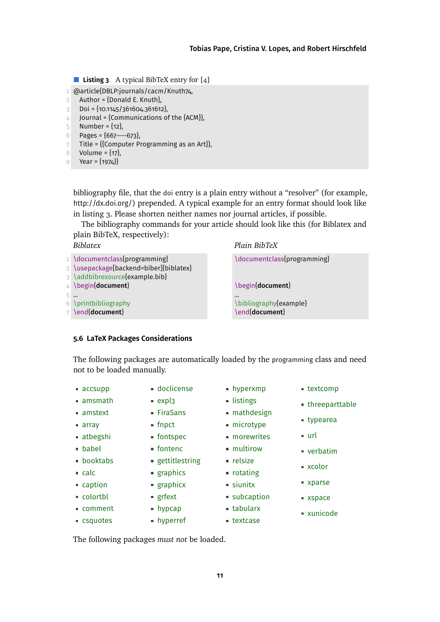<span id="page-10-1"></span>**Listing 3** A typical BibTeX entry for [\[4\]](#page-11-5)

```
1 @article{DBLP:journals/cacm/Knuth74,
```
- 2 Author =  $\{Donald E. Knuth\}$ ,
- 3 Doi =  $\{10.1145/361604.361612\}$
- 4 Journal = {Communications of the  ${ACM}$ },
- 5 Number =  $\{12\}$ ,
- 6 Pages = {667−−673},
- 7 Title = {{Computer Programming as an Art}},
- $8$  Volume =  $\{17\}$ ,
- 9 Year =  $\{1974\}$

bibliography file, that the doi entry is a plain entry without a "resolver" (for example, http://dx.doi.org/) prepended. A typical example for an entry format should look like in [listing 3.](#page-10-1) Please shorten neither names nor journal articles, if possible.

The bibliography commands for your article should look like this (for Biblatex and plain BibTeX, respectively):

*Biblatex*

| 1 \documentclass{programming}<br>2 \usepackage[backend=biber]{biblatex} | \documentclass{programming} |
|-------------------------------------------------------------------------|-----------------------------|
| 3 \addbibresource{example.bib}                                          |                             |
| 4 \begin{document}                                                      | \begin{document}            |
| 5                                                                       | $\cdots$                    |
| 6 \printbibliography                                                    | \bibliography{example}      |
| 7 \end{document}                                                        | \end{document}              |

## <span id="page-10-0"></span>**5.6 LaTeX Packages Considerations**

The following packages are automatically loaded by the programming class and need not to be loaded manually.

- accsupp
- amsmath
- amstext
- array
- atbegshi
- babel
- booktabs
- calc
- caption
- colortbl
- comment
- csquotes
- fontenc
- gettitlestring

doclicense  $expl3$ ■ FiraSans fnpct fontspec

- graphics
- **graphicx**
- grfext
- hypcap
- hyperref

The following packages *must not* be loaded.

hyperxmp  $\blacksquare$  listings

*Plain BibTeX*

- mathdesign
- microtype
- **morewrites**
- multirow
- $reisize$
- rotating
- siunitx **subcaption**
- tabularx
- textcase
- xparse
- xspace
- xunicode
- typearea
	- $u$ rl
- - verbatim
	- xcolor

■ textcomp

threeparttable

- 
-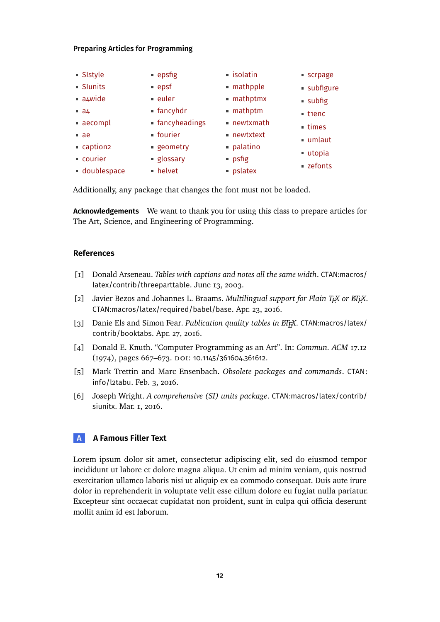| <b>Sistyle</b>       | ■ epsfig                | · isolatin               | ■ scrpage            |
|----------------------|-------------------------|--------------------------|----------------------|
| <b>Slunits</b>       | • epsf                  | · mathpple               | · subfigure          |
| a4wide               | • euler                 | ■ mathptmx               | ■ subfig             |
| $a_4$                | $\blacksquare$ fancyhdr | mathptm                  | utienc               |
| aecompl              | ■ fancyheadings         | ■ newtxmath              | $\blacksquare$ times |
| $-ae$                | <b>• fourier</b>        | $\blacksquare$ newtxtext | umlaut               |
| caption <sub>2</sub> | ■ geometry              | · palatino               |                      |
| courier              | ■ glossary              | ■ psfig                  | utopia               |
| doublespace          | • helvet                | $\blacksquare$ pslatex   | ■ zefonts            |

Additionally, any package that changes the font must not be loaded.

**Acknowledgements** We want to thank you for using this class to prepare articles for The Art, Science, and Engineering of Programming.

# **References**

- <span id="page-11-4"></span>[1] Donald Arseneau. *Tables with captions and notes all the same width*. [CTAN:macros/](http://ctan.org/tex-archive/macros/latex/contrib/threeparttable) [latex/contrib/threeparttable](http://ctan.org/tex-archive/macros/latex/contrib/threeparttable). June 13, 2003.
- <span id="page-11-2"></span>[2] Javier Bezos and Johannes L. Braams. *Multilingual support for Plain T<sub>E</sub>X or ET<sub>E</sub>X*. [CTAN:macros/latex/required/babel/base](http://ctan.org/tex-archive/macros/latex/required/babel/base). Apr. 23, 2016.
- <span id="page-11-3"></span>[3] Danie Els and Simon Fear. *Publication quality tables in <i>EITA*<sup>X</sup>. [CTAN:macros/latex/](http://ctan.org/tex-archive/macros/latex/contrib/booktabs) [contrib/booktabs](http://ctan.org/tex-archive/macros/latex/contrib/booktabs). Apr. 27, 2016.
- <span id="page-11-5"></span>[4] Donald E. Knuth. "Computer Programming as an Art". In: *Commun. ACM* 17.12 (1974), pages 667–673. DOI: [10.1145/361604.361612](http://dx.doi.org/10.1145/361604.361612).
- <span id="page-11-1"></span>[5] Mark Trettin and Marc Ensenbach. *Obsolete packages and commands*. [CTAN:](http://ctan.org/tex-archive/info/l2tabu) [info/l2tabu](http://ctan.org/tex-archive/info/l2tabu). Feb. 3, 2016.
- <span id="page-11-0"></span>[6] Joseph Wright. *A comprehensive (SI) units package*. [CTAN:macros/latex/contrib/](http://ctan.org/tex-archive/macros/latex/contrib/siunitx) [siunitx](http://ctan.org/tex-archive/macros/latex/contrib/siunitx). Mar. 1, 2016.

# **A A Famous Filler Text**

Lorem ipsum dolor sit amet, consectetur adipiscing elit, sed do eiusmod tempor incididunt ut labore et dolore magna aliqua. Ut enim ad minim veniam, quis nostrud exercitation ullamco laboris nisi ut aliquip ex ea commodo consequat. Duis aute irure dolor in reprehenderit in voluptate velit esse cillum dolore eu fugiat nulla pariatur. Excepteur sint occaecat cupidatat non proident, sunt in culpa qui officia deserunt mollit anim id est laborum.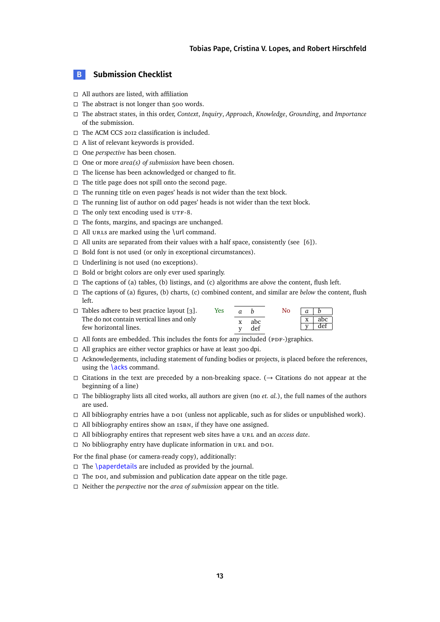## **B Submission Checklist**

- □ All authors are listed, with affiliation
- $\Box$  The abstract is not longer than 500 words.
- The abstract states, in this order, *Context*, *Inquiry*, *Approach*, *Knowledge*, *Grounding*, and *Importance* of the submission.
- $\Box$  The ACM CCS 2012 classification is included.
- $\Box$  A list of relevant keywords is provided.
- □ One *perspective* has been chosen.
- $\Box$  One or more *area(s)* of *submission* have been chosen.
- $\Box$  The license has been acknowledged or changed to fit.
- $\Box$  The title page does not spill onto the second page.
- $\Box$  The running title on even pages' heads is not wider than the text block.
- $\Box$  The running list of author on odd pages' heads is not wider than the text block.
- $\Box$  The only text encoding used is UTF-8.
- $\Box$  The fonts, margins, and spacings are unchanged.
- $\Box$  All urls are marked using the \url command.
- $\Box$  All units are separated from their values with a half space, consistently (see [\[6\]](#page-11-0)).
- $\Box$  Bold font is not used (or only in exceptional circumstances).
- $\Box$  Underlining is not used (no exceptions).
- $\Box$  Bold or bright colors are only ever used sparingly.
- $\Box$  The captions of (a) tables, (b) listings, and (c) algorithms are *above* the content, flush left.
- The captions of (a) figures, (b) charts, (c) combined content, and similar are *below* the content, flush left.

| $\Box$ Tables adhere to best practice layout [3].                   | Yes | $\sigma$ |            | No. | $\alpha$     |            |
|---------------------------------------------------------------------|-----|----------|------------|-----|--------------|------------|
| The do not contain vertical lines and only<br>few horizontal lines. |     | X        | abc<br>def |     | $\mathbf{x}$ | abc<br>def |

- $\Box$  All fonts are embedded. This includes the fonts for any included (PDF-)graphics.
- $\Box$  All graphics are either vector graphics or have at least 300 dpi.
- $\Box$  Acknowledgements, including statement of funding bodies or projects, is placed before the references, using the **\acks** command.
- $\Box$  Citations in the text are preceded by a non-breaking space. ( $\rightarrow$  Citations do not appear at the beginning of a line)
- $\Box$  The bibliography lists all cited works, all authors are given (no *et. al.*), the full names of the authors are used.
- $\Box$  All bibliography entries have a  $\Box$  (unless not applicable, such as for slides or unpublished work).
- $\Box$  All bibliography entires show an  $15BN$ , if they have one assigned.
- $\Box$  All bibliography entires that represent web sites have a URL and an *access date*.
- $\Box$  No bibliography entry have duplicate information in URL and DOI.

For the final phase (or camera-ready copy), additionally:

- $\Box$  The \paperdetails are included as provided by the journal.
- $\Box$  The poi, and submission and publication date appear on the title page.
- Neither the *perspective* nor the *area of submission* appear on the title.